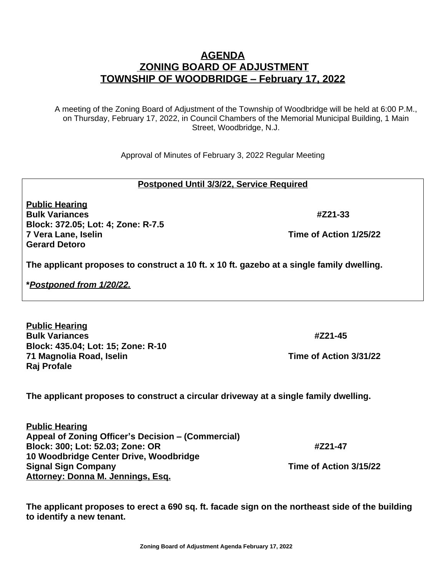**The applicant proposes to construct a circular driveway at a single family dwelling.**

**10 Woodbridge Center Drive, Woodbridge Signal Sign Company Time of Action 3/15/22 Attorney: Donna M. Jennings, Esq.** 

**Appeal of Zoning Officer's Decision – (Commercial)** 

**The applicant proposes to erect a 690 sq. ft. facade sign on the northeast side of the building to identify a new tenant.**

**Zoning Board of Adjustment Agenda February 17, 2022**

## **AGENDA ZONING BOARD OF ADJUSTMENT TOWNSHIP OF WOODBRIDGE – February 17, 2022**

A meeting of the Zoning Board of Adjustment of the Township of Woodbridge will be held at 6:00 P.M., on Thursday, February 17, 2022, in Council Chambers of the Memorial Municipal Building, 1 Main Street, Woodbridge, N.J.

Approval of Minutes of February 3, 2022 Regular Meeting

## **Postponed Until 3/3/22, Service Required**

**Public Hearing Bulk Variances #Z21-33 Block: 372.05; Lot: 4; Zone: R-7.5 7 Vera Lane, Iselin Time of Action 1/25/22 Gerard Detoro**

**The applicant proposes to construct a 10 ft. x 10 ft. gazebo at a single family dwelling.**

**\****Postponed from 1/20/22.*

**Public Hearing**

**Public Hearing Bulk Variances #Z21-45 Block: 435.04; Lot: 15; Zone: R-10 71 Magnolia Road, Iselin Time of Action 3/31/22 Raj Profale**

**Block: 300; Lot: 52.03; Zone: OR #Z21-47**